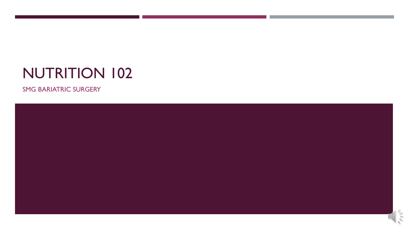# NUTRITION 102

SMG BARIATRIC SURGERY

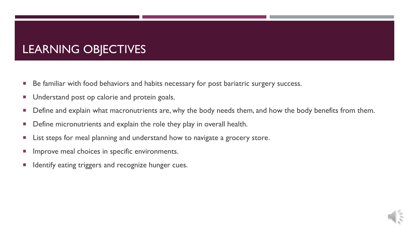### LEARNING OBJECTIVES

- Be familiar with food behaviors and habits necessary for post bariatric surgery success.
- **Understand post op calorie and protein goals.**
- **Define and explain what macronutrients are, why the body needs them, and how the body benefits from them.**
- **Define micronutrients and explain the role they play in overall health.**
- **EXTE:** List steps for meal planning and understand how to navigate a grocery store.
- **IMPROVE MEAL CHOICES IN SPECIFIC ENVIRONMENTS.**
- **If Identify eating triggers and recognize hunger cues.**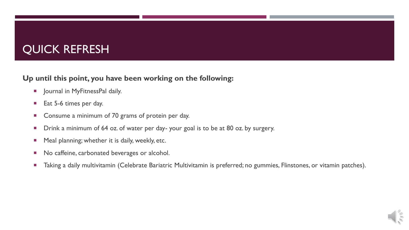#### QUICK REFRESH

#### **Up until this point, you have been working on the following:**

- **Journal in MyFitnessPal daily.**
- Eat 5-6 times per day.
- Consume a minimum of 70 grams of protein per day.
- **Drink a minimum of 64 oz. of water per day- your goal is to be at 80 oz. by surgery.**
- **Meal planning; whether it is daily, weekly, etc.**
- No caffeine, carbonated beverages or alcohol.
- **Taking a daily multivitamin (Celebrate Bariatric Multivitamin is preferred; no gummies, Flinstones, or vitamin patches).**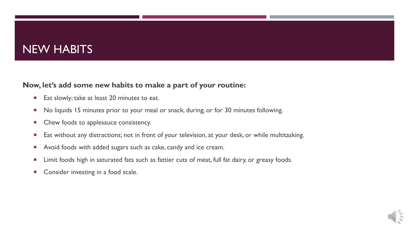#### NEW HABITS

#### **Now, let's add some new habits to make a part of your routine:**

- Eat slowly; take at least 20 minutes to eat.
- No liquids 15 minutes prior to your meal or snack, during, or for 30 minutes following.
- **EXECUTE:** Chew foods to applesauce consistency.
- Eat without any distractions; not in front of your television, at your desk, or while multitasking.
- **Avoid foods with added sugars such as cake, candy and ice cream.**
- **EXT** Limit foods high in saturated fats such as fattier cuts of meat, full fat dairy, or greasy foods.
- **Consider investing in a food scale.**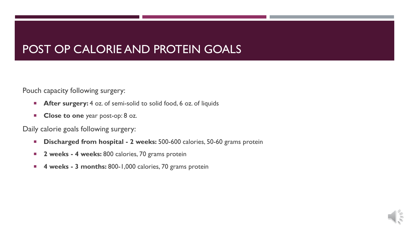#### POST OP CALORIE AND PROTEIN GOALS

Pouch capacity following surgery:

- **After surgery:** 4 oz. of semi-solid to solid food, 6 oz. of liquids
- **Close to one** year post-op: 8 oz.

Daily calorie goals following surgery:

- **Discharged from hospital 2 weeks: 500-600 calories, 50-60 grams protein**
- **2 weeks 4 weeks: 800 calories, 70 grams protein**
- **4 weeks - 3 months:** 800-1,000 calories, 70 grams protein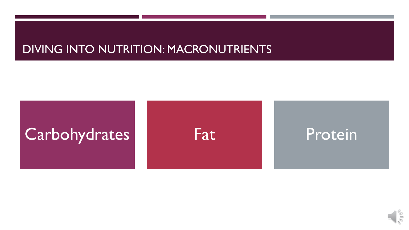#### DIVING INTO NUTRITION: MACRONUTRIENTS



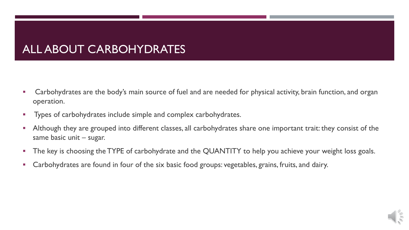#### ALL ABOUT CARBOHYDRATES

- Carbohydrates are the body's main source of fuel and are needed for physical activity, brain function, and organ operation.
- **Types of carbohydrates include simple and complex carbohydrates.**
- Although they are grouped into different classes, all carbohydrates share one important trait: they consist of the same basic unit – sugar.
- The key is choosing the TYPE of carbohydrate and the QUANTITY to help you achieve your weight loss goals.
- Carbohydrates are found in four of the six basic food groups: vegetables, grains, fruits, and dairy.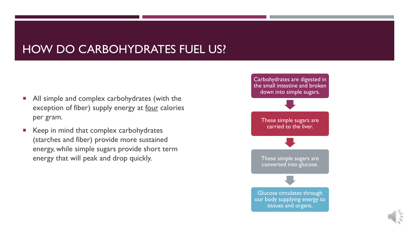#### HOW DO CARBOHYDRATES FUEL US?

- All simple and complex carbohydrates (with the exception of fiber) supply energy at four calories per gram.
- Keep in mind that complex carbohydrates (starches and fiber) provide more sustained energy, while simple sugars provide short term energy that will peak and drop quickly.

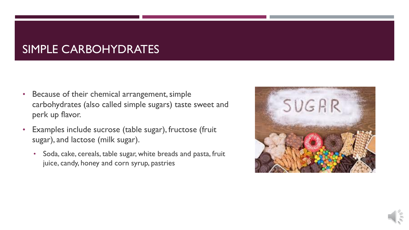#### SIMPLE CARBOHYDRATES

- Because of their chemical arrangement, simple carbohydrates (also called simple sugars) taste sweet and perk up flavor.
- Examples include sucrose (table sugar), fructose (fruit sugar), and lactose (milk sugar).
	- Soda, cake, cereals, table sugar, white breads and pasta, fruit juice, candy, honey and corn syrup, pastries

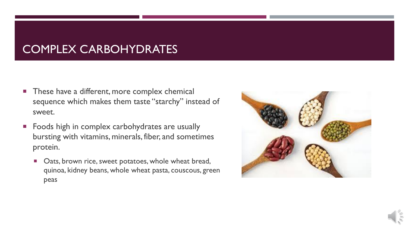#### COMPLEX CARBOHYDRATES

- **These have a different, more complex chemical** sequence which makes them taste "starchy" instead of sweet.
- **Foods high in complex carbohydrates are usually** bursting with vitamins, minerals, fiber, and sometimes protein.
	- **Dats, brown rice, sweet potatoes, whole wheat bread,** quinoa, kidney beans, whole wheat pasta, couscous, green peas



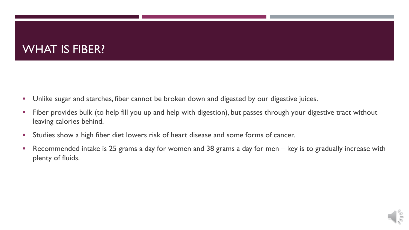#### WHAT IS FIBER?

- **Unlike sugar and starches, fiber cannot be broken down and digested by our digestive juices.**
- **Fiber provides bulk (to help fill you up and help with digestion), but passes through your digestive tract without** leaving calories behind.
- **Studies show a high fiber diet lowers risk of heart disease and some forms of cancer.**
- Recommended intake is 25 grams a day for women and 38 grams a day for men key is to gradually increase with plenty of fluids.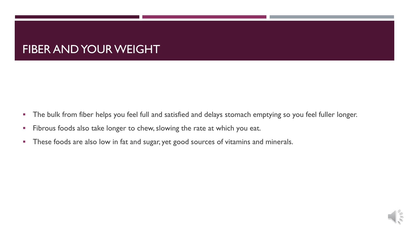#### FIBER AND YOUR WEIGHT

- **The bulk from fiber helps you feel full and satisfied and delays stomach emptying so you feel fuller longer.**
- Fibrous foods also take longer to chew, slowing the rate at which you eat.
- **These foods are also low in fat and sugar, yet good sources of vitamins and minerals.**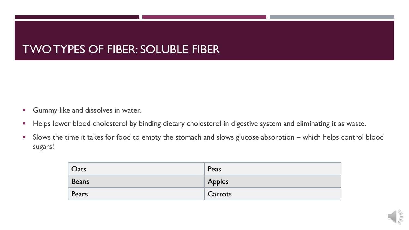#### TWO TYPES OF FIBER: SOLUBLE FIBER

- **Gummy like and dissolves in water.**
- **Helps lower blood cholesterol by binding dietary cholesterol in digestive system and eliminating it as waste.**
- Slows the time it takes for food to empty the stomach and slows glucose absorption which helps control blood sugars!

| Oats         | Peas    |
|--------------|---------|
| <b>Beans</b> | Apples  |
| Pears        | Carrots |

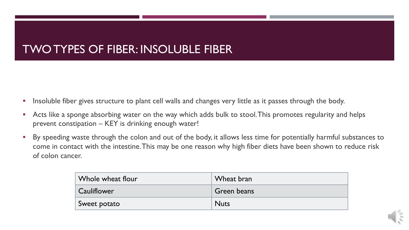#### TWO TYPES OF FIBER: INSOLUBLE FIBER

- **Insoluble fiber gives structure to plant cell walls and changes very little as it passes through the body.**
- Acts like a sponge absorbing water on the way which adds bulk to stool. This promotes regularity and helps prevent constipation – KEY is drinking enough water!
- By speeding waste through the colon and out of the body, it allows less time for potentially harmful substances to come in contact with the intestine. This may be one reason why high fiber diets have been shown to reduce risk of colon cancer.

| Whole wheat flour  | Wheat bran  |
|--------------------|-------------|
| <b>Cauliflower</b> | Green beans |
| Sweet potato       | <b>Nuts</b> |

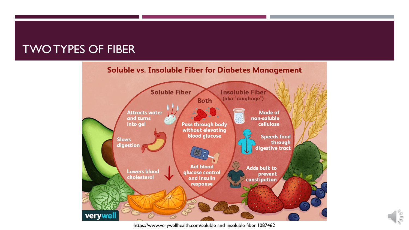#### TWO TYPES OF FIBER



https://www.verywellhealth.com/soluble-and-insoluble-fiber-1087462

NH)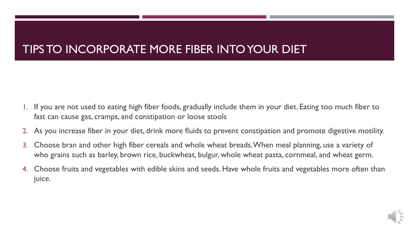### TIPS TO INCORPORATE MORE FIBER INTO YOUR DIET

- 1. If you are not used to eating high fiber foods, gradually include them in your diet. Eating too much fiber to fast can cause gas, cramps, and constipation or loose stools
- 2. As you increase fiber in your diet, drink more fluids to prevent constipation and promote digestive motility.
- 3. Choose bran and other high fiber cereals and whole wheat breads. When meal planning, use a variety of who grains such as barley, brown rice, buckwheat, bulgur, whole wheat pasta, cornmeal, and wheat germ.
- 4. Choose fruits and vegetables with edible skins and seeds. Have whole fruits and vegetables more often than juice.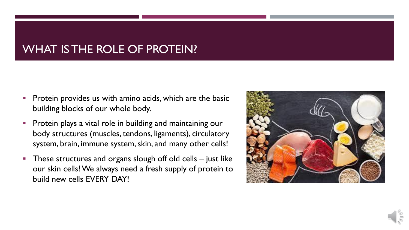#### WHAT IS THE ROLE OF PROTEIN?

- Protein provides us with amino acids, which are the basic building blocks of our whole body.
- Protein plays a vital role in building and maintaining our body structures (muscles, tendons, ligaments), circulatory system, brain, immune system, skin, and many other cells!
- These structures and organs slough off old cells  $-$  just like our skin cells! We always need a fresh supply of protein to build new cells EVERY DAY!

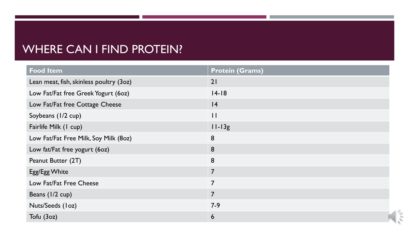#### WHERE CAN I FIND PROTEIN?

| <b>Food Item</b>                        | <b>Protein (Grams)</b> |
|-----------------------------------------|------------------------|
| Lean meat, fish, skinless poultry (3oz) | 21                     |
| Low Fat/Fat free Greek Yogurt (60z)     | $14 - 18$              |
| Low Fat/Fat free Cottage Cheese         | 4                      |
| Soybeans (1/2 cup)                      | $\mathbf{1}$           |
| Fairlife Milk (1 cup)                   | $11-13g$               |
| Low Fat/Fat Free Milk, Soy Milk (80z)   | 8                      |
| Low fat/Fat free yogurt (60z)           | 8                      |
| Peanut Butter (2T)                      | 8                      |
| Egg/Egg White                           | $\overline{7}$         |
| Low Fat/Fat Free Cheese                 | $\overline{7}$         |
| Beans (1/2 cup)                         | $\overline{7}$         |
| Nuts/Seeds (loz)                        | $7 - 9$                |
| Tofu (3oz)                              | 6                      |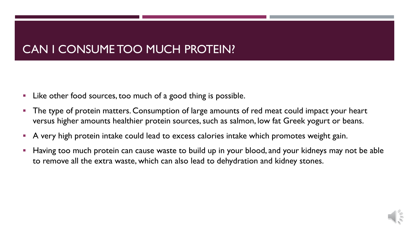#### CAN I CONSUME TOO MUCH PROTEIN?

- **Like other food sources, too much of a good thing is possible.**
- The type of protein matters. Consumption of large amounts of red meat could impact your heart versus higher amounts healthier protein sources, such as salmon, low fat Greek yogurt or beans.
- A very high protein intake could lead to excess calories intake which promotes weight gain.
- Having too much protein can cause waste to build up in your blood, and your kidneys may not be able to remove all the extra waste, which can also lead to dehydration and kidney stones.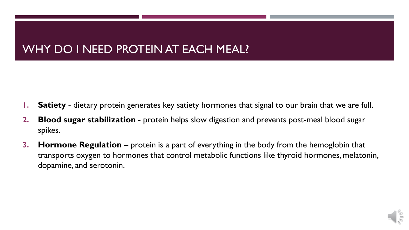#### WHY DO I NEED PROTEIN AT EACH MEAL?

- **1. Satiety** dietary protein generates key satiety hormones that signal to our brain that we are full.
- **2. Blood sugar stabilization -** protein helps slow digestion and prevents post-meal blood sugar spikes.
- **3. Hormone Regulation –** protein is a part of everything in the body from the hemoglobin that transports oxygen to hormones that control metabolic functions like thyroid hormones, melatonin, dopamine, and serotonin.

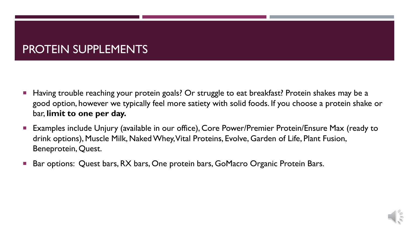#### PROTEIN SUPPLEMENTS

- Having trouble reaching your protein goals? Or struggle to eat breakfast? Protein shakes may be a good option, however we typically feel more satiety with solid foods. If you choose a protein shake or bar, **limit to one per day.**
- Examples include Unjury (available in our office), Core Power/Premier Protein/Ensure Max (ready to drink options), Muscle Milk, Naked Whey, Vital Proteins, Evolve, Garden of Life, Plant Fusion, Beneprotein, Quest.
- Bar options: Quest bars, RX bars, One protein bars, GoMacro Organic Protein Bars.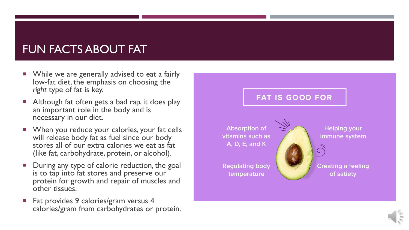#### FUN FACTS ABOUT FAT

- **Notally While we are generally advised to eat a fairly** low-fat diet, the emphasis on choosing the *right* type of fat is key.
- Although fat often gets a bad rap, it does play an important role in the body and is necessary in our diet.
- When you reduce your calories, your fat cells will release body fat as fuel since our body stores all of our extra calories we eat as fat (like fat, carbohydrate, protein, or alcohol).
- During any type of calorie reduction, the goal is to tap into fat stores and preserve our protein for growth and repair of muscles and other tissues.
- Fat provides 9 calories/gram versus 4 calories/gram from carbohydrates or protein.



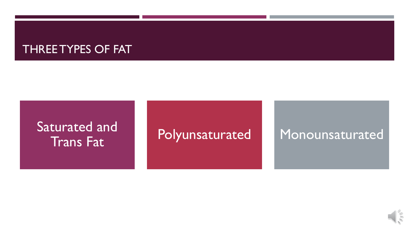#### THREE TYPES OF FAT

## Saturated and Iturated and **Polyunsaturated** Monounsaturated

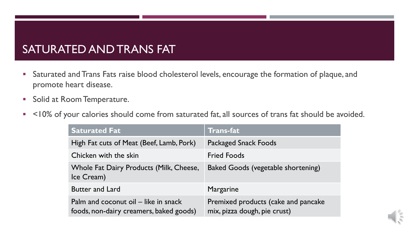#### SATURATED AND TRANS FAT

- Saturated and Trans Fats raise blood cholesterol levels, encourage the formation of plaque, and promote heart disease.
- **Solid at Room Temperature.**
- <10% of your calories should come from saturated fat, all sources of trans fat should be avoided.

| <b>Saturated Fat</b>                                                            | <b>Trans-fat</b>                                                    |
|---------------------------------------------------------------------------------|---------------------------------------------------------------------|
| High Fat cuts of Meat (Beef, Lamb, Pork)                                        | <b>Packaged Snack Foods</b>                                         |
| Chicken with the skin                                                           | <b>Fried Foods</b>                                                  |
| Whole Fat Dairy Products (Milk, Cheese,<br>Ice Cream)                           | <b>Baked Goods (vegetable shortening)</b>                           |
| <b>Butter and Lard</b>                                                          | Margarine                                                           |
| Palm and coconut oil – like in snack<br>foods, non-dairy creamers, baked goods) | Premixed products (cake and pancake<br>mix, pizza dough, pie crust) |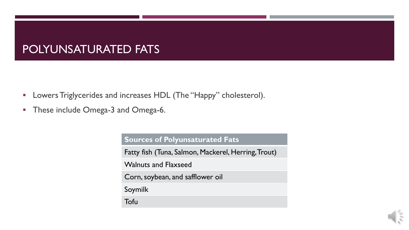#### POLYUNSATURATED FATS

- **-** Lowers Triglycerides and increases HDL (The "Happy" cholesterol).
- **These include Omega-3 and Omega-6.**

**Sources of Polyunsaturated Fats**

Fatty fish (Tuna, Salmon, Mackerel, Herring, Trout)

Walnuts and Flaxseed

Corn,soybean, and safflower oil

Soymilk

Tofu

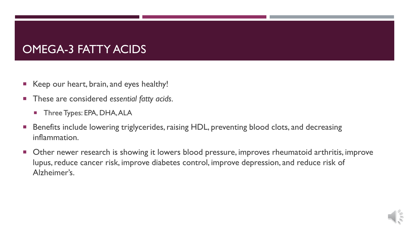#### OMEGA-3 FATTY ACIDS

- Keep our heart, brain, and eyes healthy!
- These are considered *essential fatty acids.*
	- **Three Types: EPA, DHA, ALA**
- Benefits include lowering triglycerides, raising HDL, preventing blood clots, and decreasing inflammation.
- **Deara 1** Other newer research is showing it lowers blood pressure, improves rheumatoid arthritis, improve lupus, reduce cancer risk, improve diabetes control, improve depression, and reduce risk of Alzheimer's.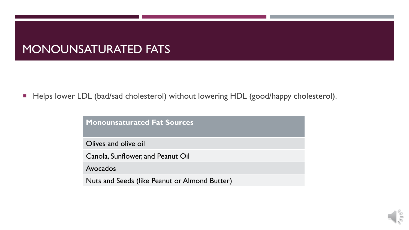#### MONOUNSATURATED FATS

Helps lower LDL (bad/sad cholesterol) without lowering HDL (good/happy cholesterol).

**Monounsaturated Fat Sources**

Olives and olive oil

Canola, Sunflower, and Peanut Oil

Avocados

Nuts and Seeds (like Peanut or Almond Butter)

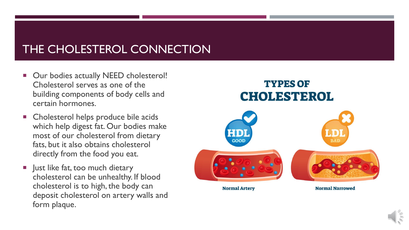### THE CHOLESTEROL CONNECTION

- **Our bodies actually NEED cholesterol!** Cholesterol serves as one of the building components of body cells and certain hormones.
- **EXP** Cholesterol helps produce bile acids which help digest fat. Our bodies make most of our cholesterol from dietary fats, but it also obtains cholesterol directly from the food you eat.
- **Just like fat, too much dietary** cholesterol can be unhealthy. If blood cholesterol is to high, the body can deposit cholesterol on artery walls and form plaque.

# **TYPES OF CHOLESTEROL** GOOD **Normal Artery Normal Narrowed**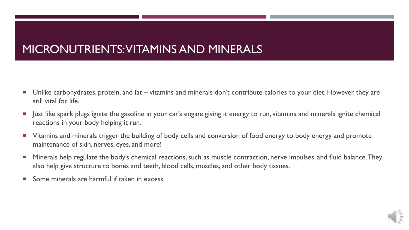### MICRONUTRIENTS: VITAMINS AND MINERALS

- Unlike carbohydrates, protein, and fat vitamins and minerals don't contribute calories to your diet. However they are still vital for life.
- **Just like spark plugs ignite the gasoline in your car's engine giving it energy to run, vitamins and minerals ignite chemical in the synth in the synth of the synth chemical in the synth chemical in the synth chemical in** reactions in your body helping it run.
- Vitamins and minerals trigger the building of body cells and conversion of food energy to body energy and promote maintenance of skin, nerves, eyes, and more!
- **Minerals help regulate the body's chemical reactions, such as muscle contraction, nerve impulses, and fluid balance. They** also help give structure to bones and teeth, blood cells, muscles, and other body tissues.
- Some minerals are harmful if taken in excess.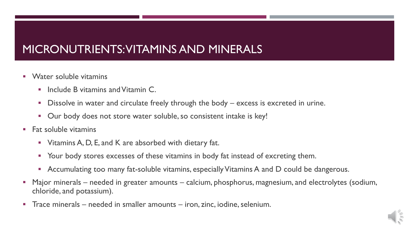### MICRONUTRIENTS: VITAMINS AND MINERALS

- Water soluble vitamins
	- Include B vitamins and Vitamin C.
	- Dissolve in water and circulate freely through the body excess is excreted in urine.
	- **Dur body does not store water soluble, so consistent intake is key!**
- $\blacksquare$  Fat soluble vitamins
	- Vitamins A, D, E, and K are absorbed with dietary fat.
	- Your body stores excesses of these vitamins in body fat instead of excreting them.
	- Accumulating too many fat-soluble vitamins, especially Vitamins A and D could be dangerous.
- Major minerals needed in greater amounts calcium, phosphorus, magnesium, and electrolytes (sodium, chloride, and potassium).
- Trace minerals needed in smaller amounts iron, zinc, iodine, selenium.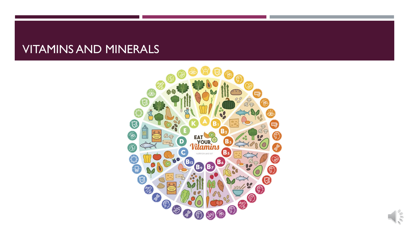#### VITAMINS AND MINERALS



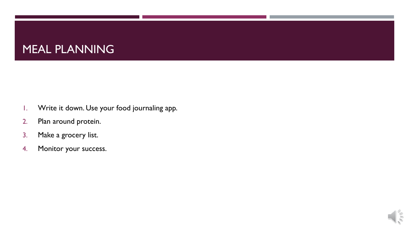#### MEAL PLANNING

- 1. Write it down. Use your food journaling app.
- 2. Plan around protein.
- 3. Make a grocery list.
- 4. Monitor your success.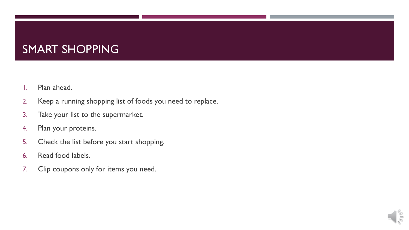#### SMART SHOPPING

- 1. Plan ahead.
- 2. Keep a running shopping list of foods you need to replace.
- 3. Take your list to the supermarket.
- 4. Plan your proteins.
- 5. Check the list before you start shopping.
- 6. Read food labels.
- 7. Clip coupons only for items you need.

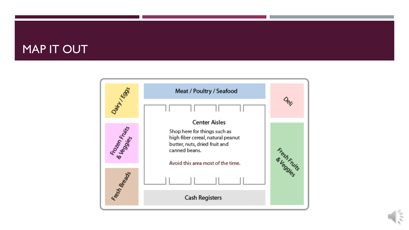#### MAP IT OUT



 $\frac{1}{2}$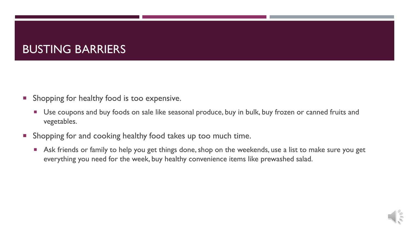#### BUSTING BARRIERS

- **Shopping for healthy food is too expensive.** 
	- **Use coupons and buy foods on sale like seasonal produce, buy in bulk, buy frozen or canned fruits and** vegetables.
- **Shopping for and cooking healthy food takes up too much time.** 
	- **Ask friends or family to help you get things done, shop on the weekends, use a list to make sure you get** everything you need for the week, buy healthy convenience items like prewashed salad.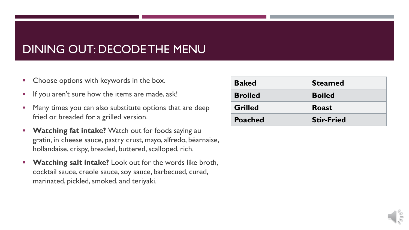#### DINING OUT: DECODE THE MENU

- **Choose options with keywords in the box.**
- **If you aren't sure how the items are made, ask!**
- **Many times you can also substitute options that are deep** fried or breaded for a grilled version.
- **Watching fat intake?** Watch out for foods saying au gratin, in cheese sauce, pastry crust, mayo, alfredo, béarnaise, hollandaise, crispy, breaded, buttered, scalloped, rich.
- **Watching salt intake?** Look out for the words like broth, cocktail sauce, creole sauce, soy sauce, barbecued, cured, marinated, pickled, smoked, and teriyaki.

| <b>Baked</b>   | <b>Steamed</b>    |
|----------------|-------------------|
| <b>Broiled</b> | <b>Boiled</b>     |
| <b>Grilled</b> | <b>Roast</b>      |
| <b>Poached</b> | <b>Stir-Fried</b> |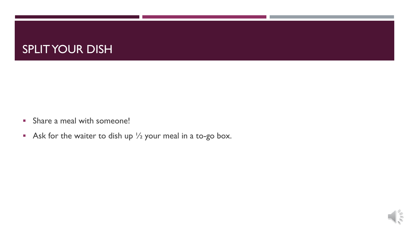#### SPLIT YOUR DISH

- Share a meal with someone!
- Ask for the waiter to dish up  $\frac{1}{2}$  your meal in a to-go box.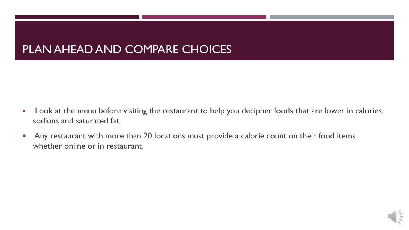#### PLAN AHEAD AND COMPARE CHOICES

- **Look at the menu before visiting the restaurant to help you decipher foods that are lower in calories,** sodium, and saturated fat.
- **Any restaurant with more than 20 locations must provide a calorie count on their food items** whether online or in restaurant.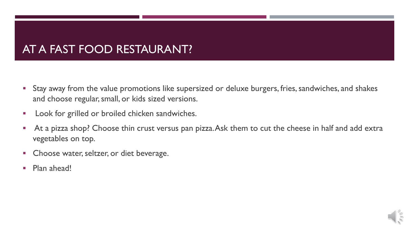#### AT A FAST FOOD RESTAURANT?

- Stay away from the value promotions like supersized or deluxe burgers, fries, sandwiches, and shakes and choose regular, small, or kids sized versions.
- **Look for grilled or broiled chicken sandwiches.**
- At a pizza shop? Choose thin crust versus pan pizza. Ask them to cut the cheese in half and add extra vegetables on top.
- **Choose water, seltzer, or diet beverage.**
- Plan ahead!

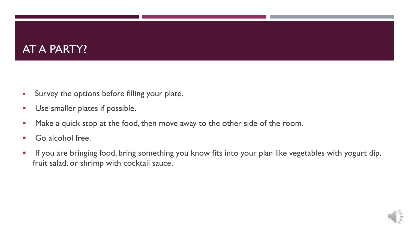#### AT A PARTY?

- Survey the options before filling your plate.
- **Use smaller plates if possible.**
- **Make a quick stop at the food, then move away to the other side of the room.**
- Go alcohol free.
- **If you are bringing food, bring something you know fits into your plan like vegetables with yogurt dip,** fruit salad, or shrimp with cocktail sauce.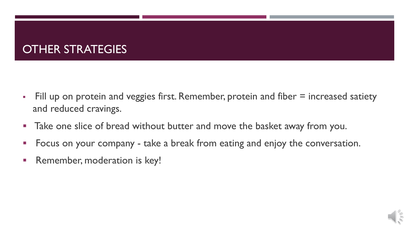#### OTHER STRATEGIES

- Fill up on protein and veggies first. Remember, protein and fiber = increased satiety and reduced cravings.
- **Take one slice of bread without butter and move the basket away from you.**
- **Figual** Focus on your company take a break from eating and enjoy the conversation.
- **Remember, moderation is key!**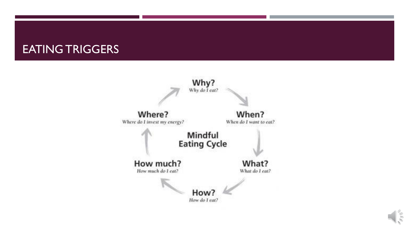#### EATING TRIGGERS



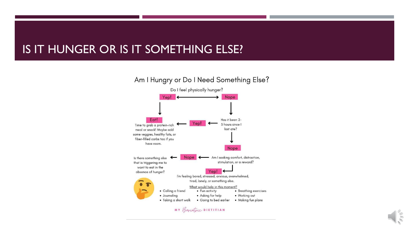#### IS IT HUNGER OR IS IT SOMETHING ELSE?





 $\leq$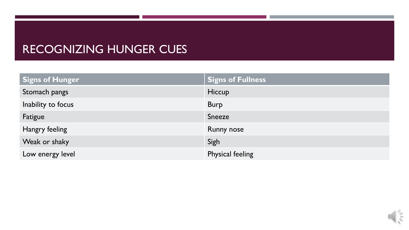#### RECOGNIZING HUNGER CUES

| <b>Signs of Hunger</b> | <b>Signs of Fullness</b> |
|------------------------|--------------------------|
| Stomach pangs          | Hiccup                   |
| Inability to focus     | <b>Burp</b>              |
| Fatigue                | Sneeze                   |
| Hangry feeling         | <b>Runny nose</b>        |
| Weak or shaky          | Sigh                     |
| Low energy level       | Physical feeling         |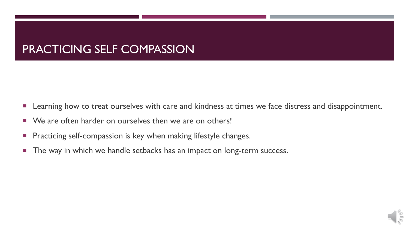### PRACTICING SELF COMPASSION

- **Learning how to treat ourselves with care and kindness at times we face distress and disappointment.**
- We are often harder on ourselves then we are on others!
- **Practicing self-compassion is key when making lifestyle changes.**
- **The way in which we handle setbacks has an impact on long-term success.**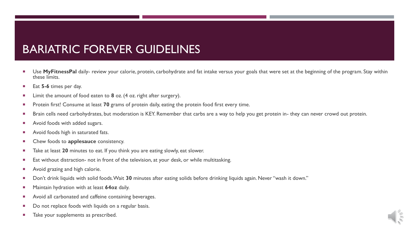#### BARIATRIC FOREVER GUIDELINES

- Use **MyFitnessPal** daily- review your calorie, protein, carbohydrate and fat intake versus your goals that were set at the beginning of the program. Stay within these limits.
- Eat **5-6** times per day.
- Limit the amount of food eaten to **8** oz. (4 oz. right after surgery).
- **Protein first! Consume at least 70 grams of protein daily, eating the protein food first every time.**
- **Brain cells need carbohydrates, but moderation is KEY. Remember that carbs are a way to help you get protein in- they can never crowd out protein.**
- Avoid foods with added sugars.
- Avoid foods high in saturated fats.
- Chew foods to **applesauce** consistency.
- Take at least 20 minutes to eat. If you think you are eating slowly, eat slower.
- **Eat without distraction- not in front of the television, at your desk, or while multitasking.**
- Avoid grazing and high calorie.
- Don't drink liquids with solid foods. Wait **30** minutes after eating solids before drinking liquids again. Never "wash it down."
- Maintain hydration with at least **64oz** daily.
- Avoid all carbonated and caffeine containing beverages.
- Do not replace foods with liquids on a regular basis.
- Take your supplements as prescribed.